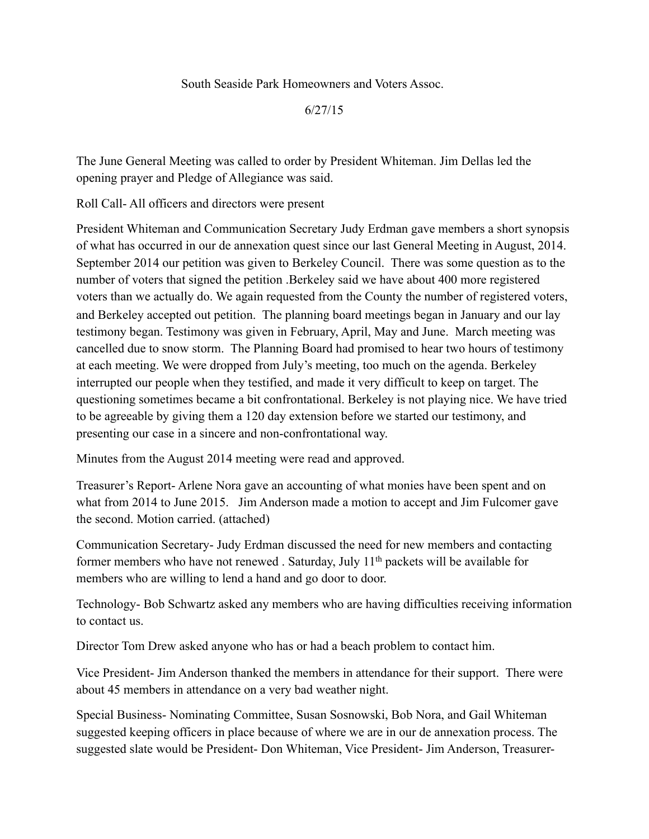South Seaside Park Homeowners and Voters Assoc.

6/27/15

The June General Meeting was called to order by President Whiteman. Jim Dellas led the opening prayer and Pledge of Allegiance was said.

Roll Call- All officers and directors were present

President Whiteman and Communication Secretary Judy Erdman gave members a short synopsis of what has occurred in our de annexation quest since our last General Meeting in August, 2014. September 2014 our petition was given to Berkeley Council. There was some question as to the number of voters that signed the petition .Berkeley said we have about 400 more registered voters than we actually do. We again requested from the County the number of registered voters, and Berkeley accepted out petition. The planning board meetings began in January and our lay testimony began. Testimony was given in February, April, May and June. March meeting was cancelled due to snow storm. The Planning Board had promised to hear two hours of testimony at each meeting. We were dropped from July's meeting, too much on the agenda. Berkeley interrupted our people when they testified, and made it very difficult to keep on target. The questioning sometimes became a bit confrontational. Berkeley is not playing nice. We have tried to be agreeable by giving them a 120 day extension before we started our testimony, and presenting our case in a sincere and non-confrontational way.

Minutes from the August 2014 meeting were read and approved.

Treasurer's Report- Arlene Nora gave an accounting of what monies have been spent and on what from 2014 to June 2015. Jim Anderson made a motion to accept and Jim Fulcomer gave the second. Motion carried. (attached)

Communication Secretary- Judy Erdman discussed the need for new members and contacting former members who have not renewed. Saturday, July  $11<sup>th</sup>$  packets will be available for members who are willing to lend a hand and go door to door.

Technology- Bob Schwartz asked any members who are having difficulties receiving information to contact us.

Director Tom Drew asked anyone who has or had a beach problem to contact him.

Vice President- Jim Anderson thanked the members in attendance for their support. There were about 45 members in attendance on a very bad weather night.

Special Business- Nominating Committee, Susan Sosnowski, Bob Nora, and Gail Whiteman suggested keeping officers in place because of where we are in our de annexation process. The suggested slate would be President- Don Whiteman, Vice President- Jim Anderson, Treasurer